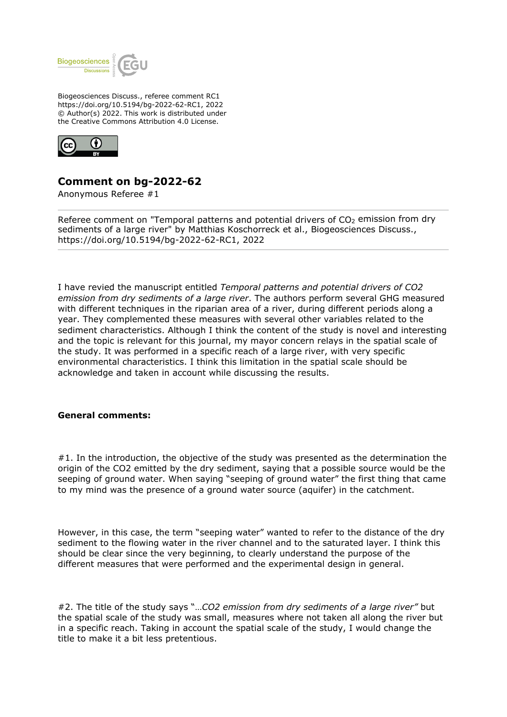

Biogeosciences Discuss., referee comment RC1 https://doi.org/10.5194/bg-2022-62-RC1, 2022 © Author(s) 2022. This work is distributed under the Creative Commons Attribution 4.0 License.



## **Comment on bg-2022-62**

Anonymous Referee #1

Referee comment on "Temporal patterns and potential drivers of  $CO<sub>2</sub>$  emission from dry sediments of a large river" by Matthias Koschorreck et al., Biogeosciences Discuss., https://doi.org/10.5194/bg-2022-62-RC1, 2022

I have revied the manuscript entitled *Temporal patterns and potential drivers of CO2 emission from dry sediments of a large river*. The authors perform several GHG measured with different techniques in the riparian area of a river, during different periods along a year. They complemented these measures with several other variables related to the sediment characteristics. Although I think the content of the study is novel and interesting and the topic is relevant for this journal, my mayor concern relays in the spatial scale of the study. It was performed in a specific reach of a large river, with very specific environmental characteristics. I think this limitation in the spatial scale should be acknowledge and taken in account while discussing the results.

## **General comments:**

#1. In the introduction, the objective of the study was presented as the determination the origin of the CO2 emitted by the dry sediment, saying that a possible source would be the seeping of ground water. When saying "seeping of ground water" the first thing that came to my mind was the presence of a ground water source (aquifer) in the catchment.

However, in this case, the term "seeping water" wanted to refer to the distance of the dry sediment to the flowing water in the river channel and to the saturated layer. I think this should be clear since the very beginning, to clearly understand the purpose of the different measures that were performed and the experimental design in general.

#2. The title of the study says "…*CO2 emission from dry sediments of a large river"* but the spatial scale of the study was small, measures where not taken all along the river but in a specific reach. Taking in account the spatial scale of the study, I would change the title to make it a bit less pretentious.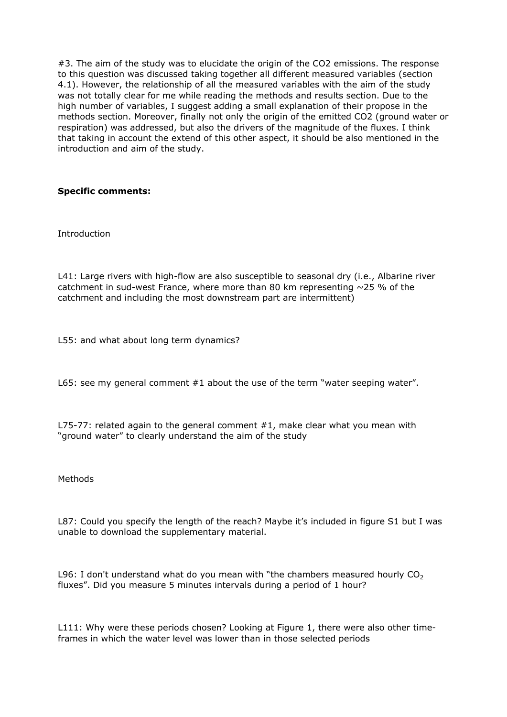#3. The aim of the study was to elucidate the origin of the CO2 emissions. The response to this question was discussed taking together all different measured variables (section 4.1). However, the relationship of all the measured variables with the aim of the study was not totally clear for me while reading the methods and results section. Due to the high number of variables, I suggest adding a small explanation of their propose in the methods section. Moreover, finally not only the origin of the emitted CO2 (ground water or respiration) was addressed, but also the drivers of the magnitude of the fluxes. I think that taking in account the extend of this other aspect, it should be also mentioned in the introduction and aim of the study.

## **Specific comments:**

Introduction

L41: Large rivers with high-flow are also susceptible to seasonal dry (i.e., Albarine river catchment in sud-west France, where more than 80 km representing  $\sim$ 25 % of the catchment and including the most downstream part are intermittent)

L55: and what about long term dynamics?

L65: see my general comment #1 about the use of the term "water seeping water".

L75-77: related again to the general comment  $#1$ , make clear what you mean with "ground water" to clearly understand the aim of the study

Methods

L87: Could you specify the length of the reach? Maybe it's included in figure S1 but I was unable to download the supplementary material.

L96: I don't understand what do you mean with "the chambers measured hourly  $CO<sub>2</sub>$ fluxes". Did you measure 5 minutes intervals during a period of 1 hour?

L111: Why were these periods chosen? Looking at Figure 1, there were also other timeframes in which the water level was lower than in those selected periods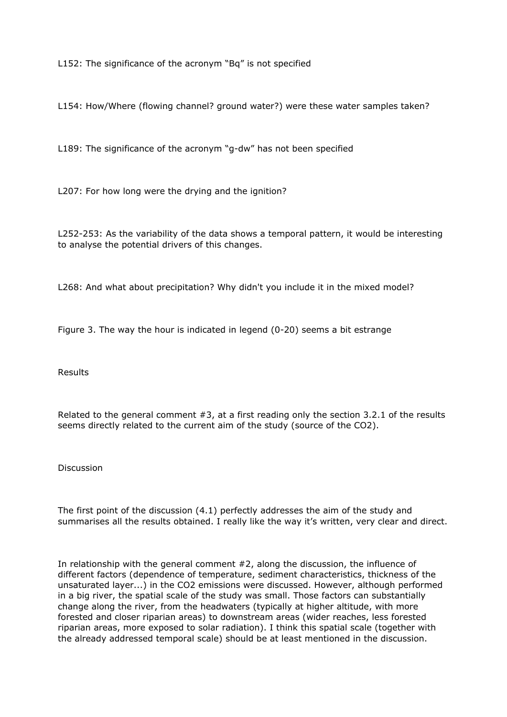L152: The significance of the acronym "Bq" is not specified

L154: How/Where (flowing channel? ground water?) were these water samples taken?

L189: The significance of the acronym "g-dw" has not been specified

L207: For how long were the drying and the ignition?

L252-253: As the variability of the data shows a temporal pattern, it would be interesting to analyse the potential drivers of this changes.

L268: And what about precipitation? Why didn't you include it in the mixed model?

Figure 3. The way the hour is indicated in legend (0-20) seems a bit estrange

Results

Related to the general comment #3, at a first reading only the section 3.2.1 of the results seems directly related to the current aim of the study (source of the CO2).

Discussion

The first point of the discussion (4.1) perfectly addresses the aim of the study and summarises all the results obtained. I really like the way it's written, very clear and direct.

In relationship with the general comment #2, along the discussion, the influence of different factors (dependence of temperature, sediment characteristics, thickness of the unsaturated layer...) in the CO2 emissions were discussed. However, although performed in a big river, the spatial scale of the study was small. Those factors can substantially change along the river, from the headwaters (typically at higher altitude, with more forested and closer riparian areas) to downstream areas (wider reaches, less forested riparian areas, more exposed to solar radiation). I think this spatial scale (together with the already addressed temporal scale) should be at least mentioned in the discussion.